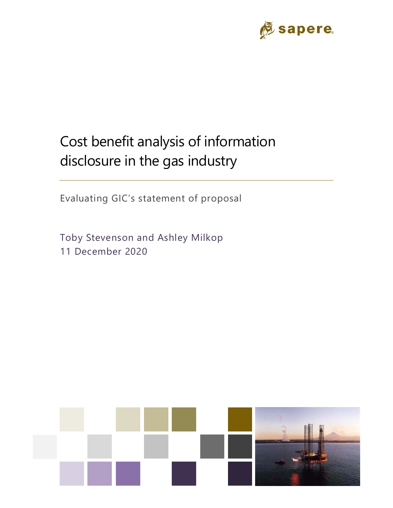

# Cost benefit analysis of information disclosure in the gas industry

Evaluating GIC's statement of proposal

Toby Stevenson and Ashley Milkop 11 December 2020

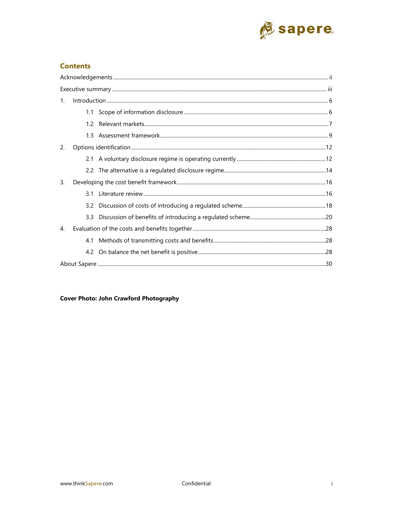

### **Contents**

| $\mathbf{1}$ . |     | $\label{prop:1} \mbox{Introduction} \,\, \ldots \,\, \ldots \,\, \ldots \,\, \ldots \,\, \ldots \,\, \ldots \,\, \ldots \,\, \ldots \,\, \ldots \,\, \ldots \,\, \ldots \,\, \ldots \,\, \ldots \,\, \ldots \,\, \ldots \,\, \ldots \,\, \ldots \,\, \ldots \,\, \ldots \,\, \ldots \,\, \ldots \,\, \ldots \,\, \ldots \,\, \ldots \,\, \ldots \,\, \ldots \,\, \ldots \,\, \ldots \,\, \ldots \,\, \ldots \,\, \ldots \,\, \ldots \,\, \ldots \,\, \ldots \,\,$ |
|----------------|-----|-------------------------------------------------------------------------------------------------------------------------------------------------------------------------------------------------------------------------------------------------------------------------------------------------------------------------------------------------------------------------------------------------------------------------------------------------------------------|
|                |     |                                                                                                                                                                                                                                                                                                                                                                                                                                                                   |
|                |     |                                                                                                                                                                                                                                                                                                                                                                                                                                                                   |
|                |     |                                                                                                                                                                                                                                                                                                                                                                                                                                                                   |
| 2.             |     |                                                                                                                                                                                                                                                                                                                                                                                                                                                                   |
|                |     |                                                                                                                                                                                                                                                                                                                                                                                                                                                                   |
|                |     |                                                                                                                                                                                                                                                                                                                                                                                                                                                                   |
| 3.             |     |                                                                                                                                                                                                                                                                                                                                                                                                                                                                   |
|                | 3.1 |                                                                                                                                                                                                                                                                                                                                                                                                                                                                   |
|                |     |                                                                                                                                                                                                                                                                                                                                                                                                                                                                   |
|                | 3.3 |                                                                                                                                                                                                                                                                                                                                                                                                                                                                   |
| $\mathbf{4}$ . |     |                                                                                                                                                                                                                                                                                                                                                                                                                                                                   |
|                |     |                                                                                                                                                                                                                                                                                                                                                                                                                                                                   |
|                |     |                                                                                                                                                                                                                                                                                                                                                                                                                                                                   |
|                |     |                                                                                                                                                                                                                                                                                                                                                                                                                                                                   |

**Cover Photo: John Crawford Photography**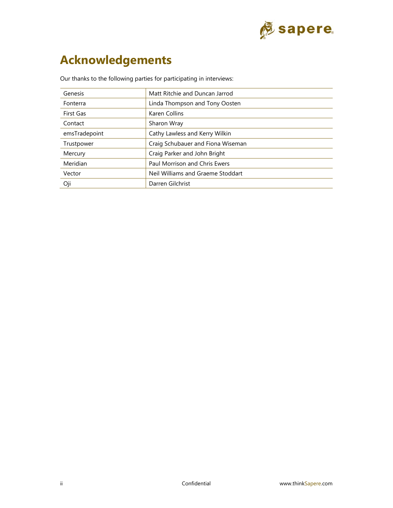

# **Acknowledgements**

Our thanks to the following parties for participating in interviews:

| <b>Genesis</b> | Matt Ritchie and Duncan Jarrod    |
|----------------|-----------------------------------|
| Fonterra       | Linda Thompson and Tony Oosten    |
| First Gas      | Karen Collins                     |
| Contact        | Sharon Wray                       |
| emsTradepoint  | Cathy Lawless and Kerry Wilkin    |
| Trustpower     | Craig Schubauer and Fiona Wiseman |
| Mercury        | Craig Parker and John Bright      |
| Meridian       | Paul Morrison and Chris Ewers     |
| Vector         | Neil Williams and Graeme Stoddart |
| Oji            | Darren Gilchrist                  |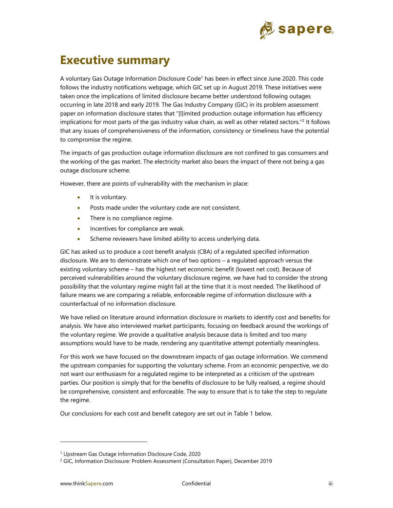

# **Executive summary**

A voluntary Gas Outage Information Disclosure Code<sup>1</sup> has been in effect since June 2020. This code follows the industry notifications webpage, which GIC set up in August 2019. These initiatives were taken once the implications of limited disclosure became better understood following outages occurring in late 2018 and early 2019. The Gas Industry Company (GIC) in its problem assessment paper on information disclosure states that "[l]imited production outage information has efficiency implications for most parts of the gas industry value chain, as well as other related sectors."2 It follows that any issues of comprehensiveness of the information, consistency or timeliness have the potential to compromise the regime.

The impacts of gas production outage information disclosure are not confined to gas consumers and the working of the gas market. The electricity market also bears the impact of there not being a gas outage disclosure scheme.

However, there are points of vulnerability with the mechanism in place:

- $\bullet$  It is voluntary.
- Posts made under the voluntary code are not consistent.
- There is no compliance regime.
- Incentives for compliance are weak.
- Scheme reviewers have limited ability to access underlying data.

GIC has asked us to produce a cost benefit analysis (CBA) of a regulated specified information disclosure. We are to demonstrate which one of two options – a regulated approach versus the existing voluntary scheme – has the highest net economic benefit (lowest net cost). Because of perceived vulnerabilities around the voluntary disclosure regime, we have had to consider the strong possibility that the voluntary regime might fail at the time that it is most needed. The likelihood of failure means we are comparing a reliable, enforceable regime of information disclosure with a counterfactual of no information disclosure.

We have relied on literature around information disclosure in markets to identify cost and benefits for analysis. We have also interviewed market participants, focusing on feedback around the workings of the voluntary regime. We provide a qualitative analysis because data is limited and too many assumptions would have to be made, rendering any quantitative attempt potentially meaningless.

For this work we have focused on the downstream impacts of gas outage information. We commend the upstream companies for supporting the voluntary scheme. From an economic perspective, we do not want our enthusiasm for a regulated regime to be interpreted as a criticism of the upstream parties. Our position is simply that for the benefits of disclosure to be fully realised, a regime should be comprehensive, consistent and enforceable. The way to ensure that is to take the step to regulate the regime.

Our conclusions for each cost and benefit category are set out in Table 1 below.

<sup>1</sup> Upstream Gas Outage Information Disclosure Code, 2020

<sup>&</sup>lt;sup>2</sup> GIC, Information Disclosure: Problem Assessment (Consultation Paper), December 2019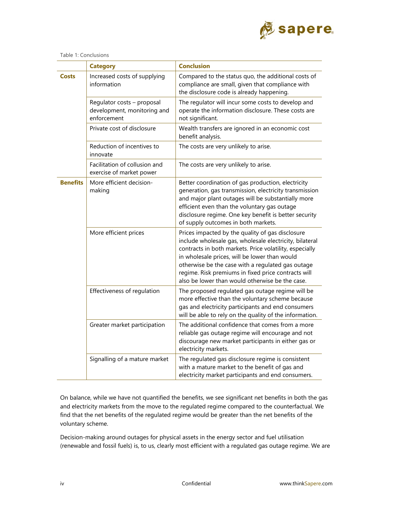

### Table 1: Conclusions

|                 | <b>Category</b>                                                          | <b>Conclusion</b>                                                                                                                                                                                                                                                                                                                                                                      |
|-----------------|--------------------------------------------------------------------------|----------------------------------------------------------------------------------------------------------------------------------------------------------------------------------------------------------------------------------------------------------------------------------------------------------------------------------------------------------------------------------------|
| <b>Costs</b>    | Increased costs of supplying<br>information                              | Compared to the status quo, the additional costs of<br>compliance are small, given that compliance with<br>the disclosure code is already happening.                                                                                                                                                                                                                                   |
|                 | Regulator costs - proposal<br>development, monitoring and<br>enforcement | The regulator will incur some costs to develop and<br>operate the information disclosure. These costs are<br>not significant.                                                                                                                                                                                                                                                          |
|                 | Private cost of disclosure                                               | Wealth transfers are ignored in an economic cost<br>benefit analysis.                                                                                                                                                                                                                                                                                                                  |
|                 | Reduction of incentives to<br>innovate                                   | The costs are very unlikely to arise.                                                                                                                                                                                                                                                                                                                                                  |
|                 | Facilitation of collusion and<br>exercise of market power                | The costs are very unlikely to arise.                                                                                                                                                                                                                                                                                                                                                  |
| <b>Benefits</b> | More efficient decision-<br>making                                       | Better coordination of gas production, electricity<br>generation, gas transmission, electricity transmission<br>and major plant outages will be substantially more<br>efficient even than the voluntary gas outage<br>disclosure regime. One key benefit is better security<br>of supply outcomes in both markets.                                                                     |
|                 | More efficient prices                                                    | Prices impacted by the quality of gas disclosure<br>include wholesale gas, wholesale electricity, bilateral<br>contracts in both markets. Price volatility, especially<br>in wholesale prices, will be lower than would<br>otherwise be the case with a regulated gas outage<br>regime. Risk premiums in fixed price contracts will<br>also be lower than would otherwise be the case. |
|                 | Effectiveness of regulation                                              | The proposed regulated gas outage regime will be<br>more effective than the voluntary scheme because<br>gas and electricity participants and end consumers<br>will be able to rely on the quality of the information.                                                                                                                                                                  |
|                 | Greater market participation                                             | The additional confidence that comes from a more<br>reliable gas outage regime will encourage and not<br>discourage new market participants in either gas or<br>electricity markets.                                                                                                                                                                                                   |
|                 | Signalling of a mature market                                            | The regulated gas disclosure regime is consistent<br>with a mature market to the benefit of gas and<br>electricity market participants and end consumers.                                                                                                                                                                                                                              |

On balance, while we have not quantified the benefits, we see significant net benefits in both the gas and electricity markets from the move to the regulated regime compared to the counterfactual. We find that the net benefits of the regulated regime would be greater than the net benefits of the voluntary scheme.

Decision-making around outages for physical assets in the energy sector and fuel utilisation (renewable and fossil fuels) is, to us, clearly most efficient with a regulated gas outage regime. We are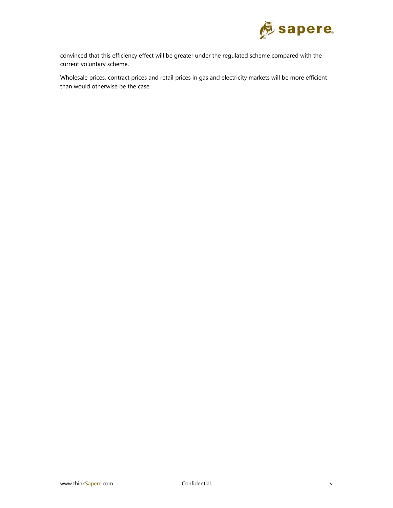

convinced that this efficiency effect will be greater under the regulated scheme compared with the current voluntary scheme.

Wholesale prices, contract prices and retail prices in gas and electricity markets will be more efficient than would otherwise be the case.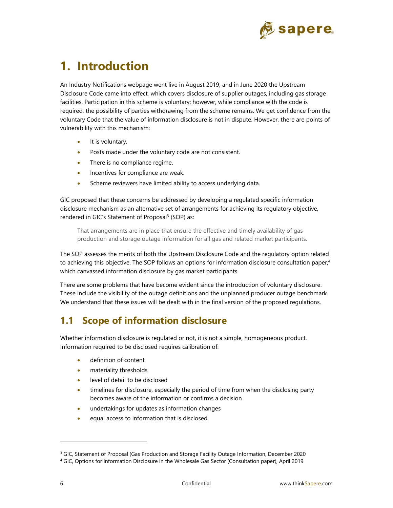

# **1. Introduction**

An Industry Notifications webpage went live in August 2019, and in June 2020 the Upstream Disclosure Code came into effect, which covers disclosure of supplier outages, including gas storage facilities. Participation in this scheme is voluntary; however, while compliance with the code is required, the possibility of parties withdrawing from the scheme remains. We get confidence from the voluntary Code that the value of information disclosure is not in dispute. However, there are points of vulnerability with this mechanism:

- It is voluntary.
- Posts made under the voluntary code are not consistent.
- There is no compliance regime.
- Incentives for compliance are weak.
- Scheme reviewers have limited ability to access underlying data.

GIC proposed that these concerns be addressed by developing a regulated specific information disclosure mechanism as an alternative set of arrangements for achieving its regulatory objective, rendered in GIC's Statement of Proposal<sup>3</sup> (SOP) as:

That arrangements are in place that ensure the effective and timely availability of gas production and storage outage information for all gas and related market participants.

The SOP assesses the merits of both the Upstream Disclosure Code and the regulatory option related to achieving this objective. The SOP follows an options for information disclosure consultation paper.<sup>4</sup> which canvassed information disclosure by gas market participants.

There are some problems that have become evident since the introduction of voluntary disclosure. These include the visibility of the outage definitions and the unplanned producer outage benchmark. We understand that these issues will be dealt with in the final version of the proposed regulations.

# **1.1 Scope of information disclosure**

Whether information disclosure is regulated or not, it is not a simple, homogeneous product. Information required to be disclosed requires calibration of:

- definition of content
- materiality thresholds
- level of detail to be disclosed
- timelines for disclosure, especially the period of time from when the disclosing party becomes aware of the information or confirms a decision
- undertakings for updates as information changes
- equal access to information that is disclosed

<sup>&</sup>lt;sup>3</sup> GIC, Statement of Proposal (Gas Production and Storage Facility Outage Information, December 2020<br><sup>4</sup> GIC, Options for Information Disclosure in the Wholesale Gas Sector (Consultation paper), April 2019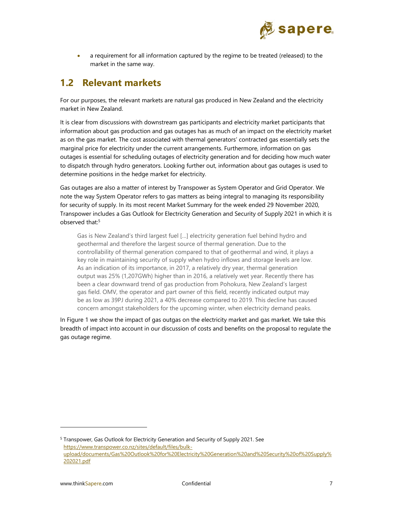

 a requirement for all information captured by the regime to be treated (released) to the market in the same way.

# **1.2 Relevant markets**

For our purposes, the relevant markets are natural gas produced in New Zealand and the electricity market in New Zealand.

It is clear from discussions with downstream gas participants and electricity market participants that information about gas production and gas outages has as much of an impact on the electricity market as on the gas market. The cost associated with thermal generators' contracted gas essentially sets the marginal price for electricity under the current arrangements. Furthermore, information on gas outages is essential for scheduling outages of electricity generation and for deciding how much water to dispatch through hydro generators. Looking further out, information about gas outages is used to determine positions in the hedge market for electricity.

Gas outages are also a matter of interest by Transpower as System Operator and Grid Operator. We note the way System Operator refers to gas matters as being integral to managing its responsibility for security of supply. In its most recent Market Summary for the week ended 29 November 2020, Transpower includes a Gas Outlook for Electricity Generation and Security of Supply 2021 in which it is observed that:<sup>5</sup>

Gas is New Zealand's third largest fuel […] electricity generation fuel behind hydro and geothermal and therefore the largest source of thermal generation. Due to the controllability of thermal generation compared to that of geothermal and wind, it plays a key role in maintaining security of supply when hydro inflows and storage levels are low. As an indication of its importance, in 2017, a relatively dry year, thermal generation output was 25% (1,207GWh) higher than in 2016, a relatively wet year. Recently there has been a clear downward trend of gas production from Pohokura, New Zealand's largest gas field. OMV, the operator and part owner of this field, recently indicated output may be as low as 39PJ during 2021, a 40% decrease compared to 2019. This decline has caused concern amongst stakeholders for the upcoming winter, when electricity demand peaks.

In Figure 1 we show the impact of gas outgas on the electricity market and gas market. We take this breadth of impact into account in our discussion of costs and benefits on the proposal to regulate the gas outage regime.

<sup>&</sup>lt;sup>5</sup> Transpower, Gas Outlook for Electricity Generation and Security of Supply 2021. See https://www.transpower.co.nz/sites/default/files/bulkupload/documents/Gas%20Outlook%20for%20Electricity%20Generation%20and%20Security%20of%20Supply% 202021.pdf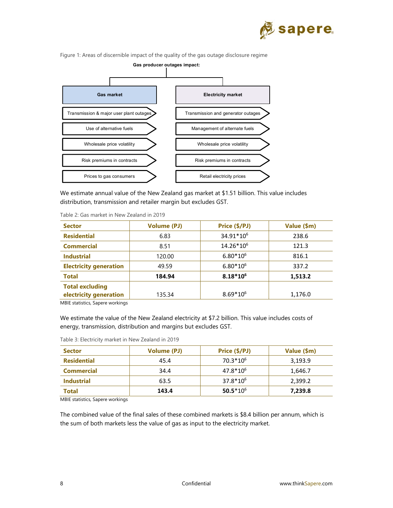

Figure 1: Areas of discernible impact of the quality of the gas outage disclosure regime



We estimate annual value of the New Zealand gas market at \$1.51 billion. This value includes distribution, transmission and retailer margin but excludes GST.

| <b>Sector</b>                    | <b>Volume (PJ)</b> | Price (\$/PJ)         | Value (\$m) |
|----------------------------------|--------------------|-----------------------|-------------|
| <b>Residential</b>               | 6.83               | 34.91*106             | 238.6       |
| <b>Commercial</b>                | 8.51               | 14.26*10 <sup>6</sup> | 121.3       |
| <b>Industrial</b>                | 120.00             | $6.80*10^{6}$         | 816.1       |
| <b>Electricity generation</b>    | 49.59              | $6.80*10^{6}$         | 337.2       |
| <b>Total</b>                     | 184.94             | $8.18*10^{6}$         | 1,513.2     |
| <b>Total excluding</b>           |                    |                       |             |
| electricity generation           | 135.34             | $8.69*10^{6}$         | 1,176.0     |
| MPIE statistics, Canora workings |                    |                       |             |

Table 2: Gas market in New Zealand in 2019

MBIE statistics, Sapere workings

We estimate the value of the New Zealand electricity at \$7.2 billion. This value includes costs of energy, transmission, distribution and margins but excludes GST.

|  | Table 3: Electricity market in New Zealand in 2019 |
|--|----------------------------------------------------|
|--|----------------------------------------------------|

| <b>Sector</b>      | <b>Volume (PJ)</b> | Price (\$/PJ) | Value (\$m) |
|--------------------|--------------------|---------------|-------------|
| <b>Residential</b> | 45.4               | $70.3*10^{6}$ | 3,193.9     |
| <b>Commercial</b>  | 34.4               | $47.8*10^{6}$ | 1,646.7     |
| <b>Industrial</b>  | 63.5               | $37.8*10^{6}$ | 2,399.2     |
| Total              | 143.4              | $50.5*10^{6}$ | 7,239.8     |

MBIE statistics, Sapere workings

The combined value of the final sales of these combined markets is \$8.4 billion per annum, which is the sum of both markets less the value of gas as input to the electricity market.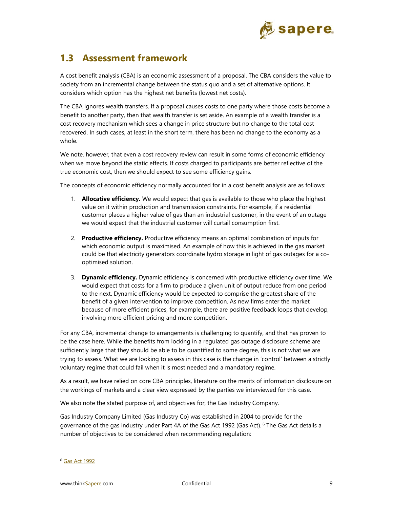

# **1.3 Assessment framework**

A cost benefit analysis (CBA) is an economic assessment of a proposal. The CBA considers the value to society from an incremental change between the status quo and a set of alternative options. It considers which option has the highest net benefits (lowest net costs).

The CBA ignores wealth transfers. If a proposal causes costs to one party where those costs become a benefit to another party, then that wealth transfer is set aside. An example of a wealth transfer is a cost recovery mechanism which sees a change in price structure but no change to the total cost recovered. In such cases, at least in the short term, there has been no change to the economy as a whole.

We note, however, that even a cost recovery review can result in some forms of economic efficiency when we move beyond the static effects. If costs charged to participants are better reflective of the true economic cost, then we should expect to see some efficiency gains.

The concepts of economic efficiency normally accounted for in a cost benefit analysis are as follows:

- 1. **Allocative efficiency.** We would expect that gas is available to those who place the highest value on it within production and transmission constraints. For example, if a residential customer places a higher value of gas than an industrial customer, in the event of an outage we would expect that the industrial customer will curtail consumption first.
- 2. **Productive efficiency.** Productive efficiency means an optimal combination of inputs for which economic output is maximised. An example of how this is achieved in the gas market could be that electricity generators coordinate hydro storage in light of gas outages for a cooptimised solution.
- 3. **Dynamic efficiency.** Dynamic efficiency is concerned with productive efficiency over time. We would expect that costs for a firm to produce a given unit of output reduce from one period to the next. Dynamic efficiency would be expected to comprise the greatest share of the benefit of a given intervention to improve competition. As new firms enter the market because of more efficient prices, for example, there are positive feedback loops that develop, involving more efficient pricing and more competition.

For any CBA, incremental change to arrangements is challenging to quantify, and that has proven to be the case here. While the benefits from locking in a regulated gas outage disclosure scheme are sufficiently large that they should be able to be quantified to some degree, this is not what we are trying to assess. What we are looking to assess in this case is the change in 'control' between a strictly voluntary regime that could fail when it is most needed and a mandatory regime.

As a result, we have relied on core CBA principles, literature on the merits of information disclosure on the workings of markets and a clear view expressed by the parties we interviewed for this case.

We also note the stated purpose of, and objectives for, the Gas Industry Company.

Gas Industry Company Limited (Gas Industry Co) was established in 2004 to provide for the governance of the gas industry under Part 4A of the Gas Act 1992 (Gas Act). 6 The Gas Act details a number of objectives to be considered when recommending regulation:

<sup>6</sup> Gas Act 1992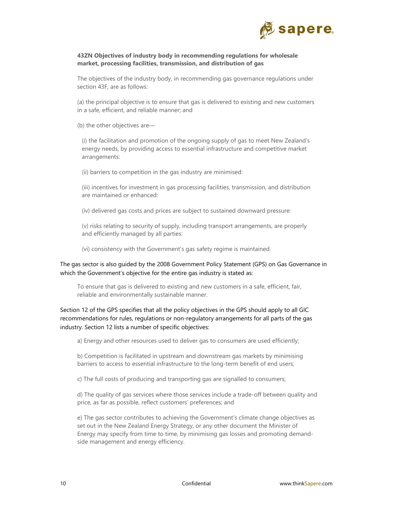

#### **43ZN Objectives of industry body in recommending regulations for wholesale market, processing facilities, transmission, and distribution of gas**

The objectives of the industry body, in recommending gas governance regulations under section 43F, are as follows:

(a) the principal objective is to ensure that gas is delivered to existing and new customers in a safe, efficient, and reliable manner; and

(b) the other objectives are—

(i) the facilitation and promotion of the ongoing supply of gas to meet New Zealand's energy needs, by providing access to essential infrastructure and competitive market arrangements:

(ii) barriers to competition in the gas industry are minimised:

(iii) incentives for investment in gas processing facilities, transmission, and distribution are maintained or enhanced:

(iv) delivered gas costs and prices are subject to sustained downward pressure:

(v) risks relating to security of supply, including transport arrangements, are properly and efficiently managed by all parties:

(vi) consistency with the Government's gas safety regime is maintained.

The gas sector is also guided by the 2008 Government Policy Statement (GPS) on Gas Governance in which the Government's objective for the entire gas industry is stated as:

To ensure that gas is delivered to existing and new customers in a safe, efficient, fair, reliable and environmentally sustainable manner.

Section 12 of the GPS specifies that all the policy objectives in the GPS should apply to all GIC recommendations for rules, regulations or non-regulatory arrangements for all parts of the gas industry. Section 12 lists a number of specific objectives:

a) Energy and other resources used to deliver gas to consumers are used efficiently;

b) Competition is facilitated in upstream and downstream gas markets by minimising barriers to access to essential infrastructure to the long-term benefit of end users;

c) The full costs of producing and transporting gas are signalled to consumers;

d) The quality of gas services where those services include a trade-off between quality and price, as far as possible, reflect customers' preferences; and

e) The gas sector contributes to achieving the Government's climate change objectives as set out in the New Zealand Energy Strategy, or any other document the Minister of Energy may specify from time to time, by minimising gas losses and promoting demandside management and energy efficiency.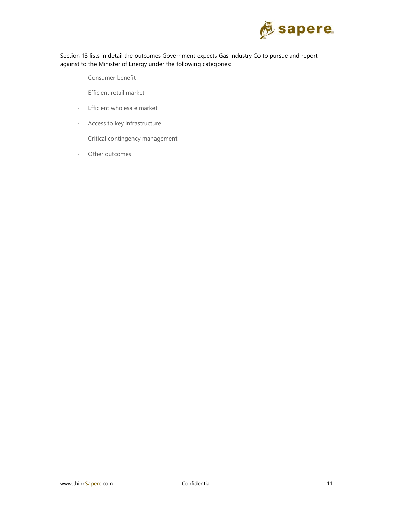

Section 13 lists in detail the outcomes Government expects Gas Industry Co to pursue and report against to the Minister of Energy under the following categories:

- Consumer benefit
- Efficient retail market
- Efficient wholesale market
- Access to key infrastructure
- Critical contingency management
- Other outcomes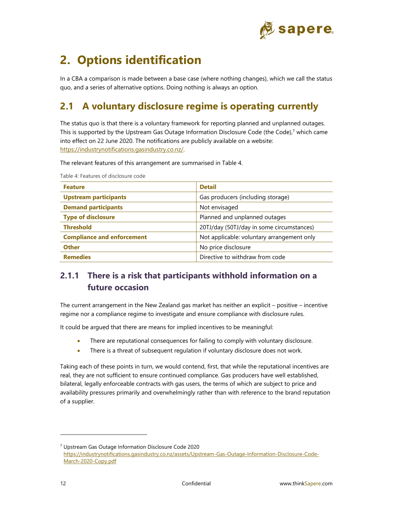

# **2. Options identification**

In a CBA a comparison is made between a base case (where nothing changes), which we call the status quo, and a series of alternative options. Doing nothing is always an option.

# **2.1 A voluntary disclosure regime is operating currently**

The status quo is that there is a voluntary framework for reporting planned and unplanned outages. This is supported by the Upstream Gas Outage Information Disclosure Code (the Code), $<sup>7</sup>$  which came</sup> into effect on 22 June 2020. The notifications are publicly available on a website: https://industrynotifications.gasindustry.co.nz/.

The relevant features of this arrangement are summarised in Table 4.

| <b>Feature</b>                    | <b>Detail</b>                              |
|-----------------------------------|--------------------------------------------|
| <b>Upstream participants</b>      | Gas producers (including storage)          |
| <b>Demand participants</b>        | Not envisaged                              |
| <b>Type of disclosure</b>         | Planned and unplanned outages              |
| <b>Threshold</b>                  | 20TJ/day (50TJ/day in some circumstances)  |
| <b>Compliance and enforcement</b> | Not applicable: voluntary arrangement only |
| <b>Other</b>                      | No price disclosure                        |
| <b>Remedies</b>                   | Directive to withdraw from code            |

Table 4: Features of disclosure code

# **2.1.1 There is a risk that participants withhold information on a future occasion**

The current arrangement in the New Zealand gas market has neither an explicit – positive – incentive regime nor a compliance regime to investigate and ensure compliance with disclosure rules.

It could be argued that there are means for implied incentives to be meaningful:

- There are reputational consequences for failing to comply with voluntary disclosure.
- There is a threat of subsequent regulation if voluntary disclosure does not work.

Taking each of these points in turn, we would contend, first, that while the reputational incentives are real, they are not sufficient to ensure continued compliance. Gas producers have well established, bilateral, legally enforceable contracts with gas users, the terms of which are subject to price and availability pressures primarily and overwhelmingly rather than with reference to the brand reputation of a supplier.

<sup>7</sup> Upstream Gas Outage Information Disclosure Code 2020 https://industrynotifications.gasindustry.co.nz/assets/Upstream-Gas-Outage-Information-Disclosure-Code-March-2020-Copy.pdf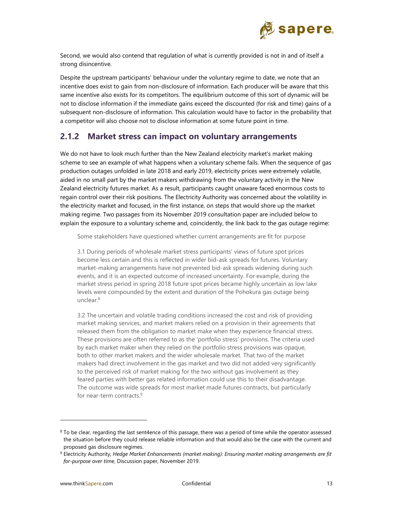

Second, we would also contend that regulation of what is currently provided is not in and of itself a strong disincentive.

Despite the upstream participants' behaviour under the voluntary regime to date, we note that an incentive does exist to gain from non-disclosure of information. Each producer will be aware that this same incentive also exists for its competitors. The equilibrium outcome of this sort of dynamic will be not to disclose information if the immediate gains exceed the discounted (for risk and time) gains of a subsequent non-disclosure of information. This calculation would have to factor in the probability that a competitor will also choose not to disclose information at some future point in time.

### **2.1.2 Market stress can impact on voluntary arrangements**

We do not have to look much further than the New Zealand electricity market's market making scheme to see an example of what happens when a voluntary scheme fails. When the sequence of gas production outages unfolded in late 2018 and early 2019, electricity prices were extremely volatile, aided in no small part by the market makers withdrawing from the voluntary activity in the New Zealand electricity futures market. As a result, participants caught unaware faced enormous costs to regain control over their risk positions. The Electricity Authority was concerned about the volatility in the electricity market and focused, in the first instance, on steps that would shore up the market making regime. Two passages from its November 2019 consultation paper are included below to explain the exposure to a voluntary scheme and, coincidently, the link back to the gas outage regime:

Some stakeholders have questioned whether current arrangements are fit for purpose

3.1 During periods of wholesale market stress participants' views of future spot prices become less certain and this is reflected in wider bid-ask spreads for futures. Voluntary market-making arrangements have not prevented bid-ask spreads widening during such events, and it is an expected outcome of increased uncertainty. For example, during the market stress period in spring 2018 future spot prices became highly uncertain as low lake levels were compounded by the extent and duration of the Pohokura gas outage being unclear.8

3.2 The uncertain and volatile trading conditions increased the cost and risk of providing market making services, and market makers relied on a provision in their agreements that released them from the obligation to market make when they experience financial stress. These provisions are often referred to as the 'portfolio stress' provisions. The criteria used by each market maker when they relied on the portfolio stress provisions was opaque, both to other market makers and the wider wholesale market. That two of the market makers had direct involvement in the gas market and two did not added very significantly to the perceived risk of market making for the two without gas involvement as they feared parties with better gas related information could use this to their disadvantage. The outcome was wide spreads for most market made futures contracts, but particularly for near-term contracts.9

 $8$  To be clear, regarding the last sent4ence of this passage, there was a period of time while the operator assessed the situation before they could release reliable information and that would also be the case with the current and proposed gas disclosure regimes.

<sup>9</sup> Electricity Authority, *Hedge Market Enhancements (market making): Ensuring market making arrangements are fit for-purpose over time*, Discussion paper, November 2019.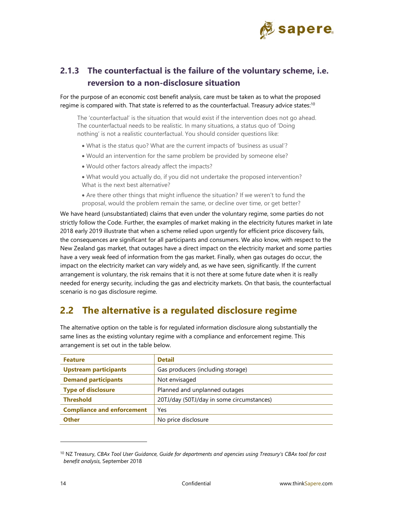

## **2.1.3 The counterfactual is the failure of the voluntary scheme, i.e. reversion to a non-disclosure situation**

For the purpose of an economic cost benefit analysis, care must be taken as to what the proposed regime is compared with. That state is referred to as the counterfactual. Treasury advice states:<sup>10</sup>

The 'counterfactual' is the situation that would exist if the intervention does not go ahead. The counterfactual needs to be realistic. In many situations, a status quo of 'Doing nothing' is not a realistic counterfactual. You should consider questions like:

- What is the status quo? What are the current impacts of 'business as usual'?
- Would an intervention for the same problem be provided by someone else?
- Would other factors already affect the impacts?
- What would you actually do, if you did not undertake the proposed intervention? What is the next best alternative?
- Are there other things that might influence the situation? If we weren't to fund the proposal, would the problem remain the same, or decline over time, or get better?

We have heard (unsubstantiated) claims that even under the voluntary regime, some parties do not strictly follow the Code. Further, the examples of market making in the electricity futures market in late 2018 early 2019 illustrate that when a scheme relied upon urgently for efficient price discovery fails, the consequences are significant for all participants and consumers. We also know, with respect to the New Zealand gas market, that outages have a direct impact on the electricity market and some parties have a very weak feed of information from the gas market. Finally, when gas outages do occur, the impact on the electricity market can vary widely and, as we have seen, significantly. If the current arrangement is voluntary, the risk remains that it is not there at some future date when it is really needed for energy security, including the gas and electricity markets. On that basis, the counterfactual scenario is no gas disclosure regime.

## **2.2 The alternative is a regulated disclosure regime**

The alternative option on the table is for regulated information disclosure along substantially the same lines as the existing voluntary regime with a compliance and enforcement regime. This arrangement is set out in the table below.

| <b>Feature</b>                    | <b>Detail</b>                             |
|-----------------------------------|-------------------------------------------|
| <b>Upstream participants</b>      | Gas producers (including storage)         |
| <b>Demand participants</b>        | Not envisaged                             |
| <b>Type of disclosure</b>         | Planned and unplanned outages             |
| <b>Threshold</b>                  | 20TJ/day (50TJ/day in some circumstances) |
| <b>Compliance and enforcement</b> | Yes                                       |
| <b>Other</b>                      | No price disclosure                       |

<sup>10</sup> NZ Treasury, *CBAx Tool User Guidance, Guide for departments and agencies using Treasury's CBAx tool for cost benefit analysis,* September 2018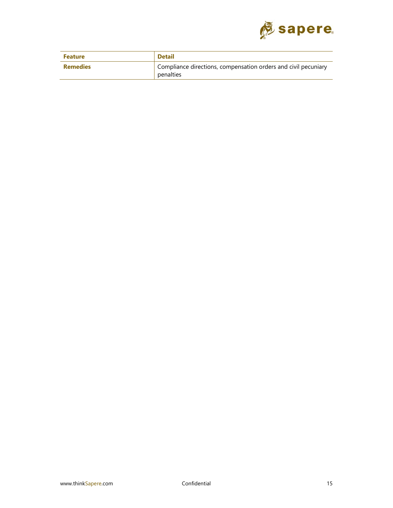

| <b>Feature</b>  | <b>Detail</b>                                                               |
|-----------------|-----------------------------------------------------------------------------|
| <b>Remedies</b> | Compliance directions, compensation orders and civil pecuniary<br>penalties |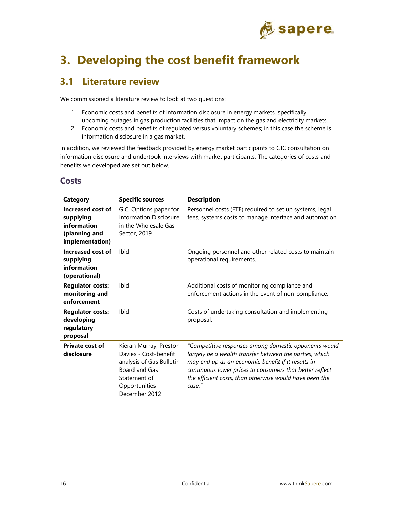

# **3. Developing the cost benefit framework**

## **3.1 Literature review**

We commissioned a literature review to look at two questions:

- 1. Economic costs and benefits of information disclosure in energy markets, specifically upcoming outages in gas production facilities that impact on the gas and electricity markets.
- 2. Economic costs and benefits of regulated versus voluntary schemes; in this case the scheme is information disclosure in a gas market.

In addition, we reviewed the feedback provided by energy market participants to GIC consultation on information disclosure and undertook interviews with market participants. The categories of costs and benefits we developed are set out below.

| ۰.<br>w<br>v<br>×<br>. .<br>۰.<br>۰.<br>w<br>× |
|------------------------------------------------|
|------------------------------------------------|

| <b>Category</b>                                                                   | <b>Specific sources</b>                                                                                                                          | <b>Description</b>                                                                                                                                                                                                                                                                                      |
|-----------------------------------------------------------------------------------|--------------------------------------------------------------------------------------------------------------------------------------------------|---------------------------------------------------------------------------------------------------------------------------------------------------------------------------------------------------------------------------------------------------------------------------------------------------------|
| Increased cost of<br>supplying<br>information<br>(planning and<br>implementation) | GIC, Options paper for<br><b>Information Disclosure</b><br>in the Wholesale Gas<br>Sector, 2019                                                  | Personnel costs (FTE) required to set up systems, legal<br>fees, systems costs to manage interface and automation.                                                                                                                                                                                      |
| Increased cost of<br>supplying<br>information<br>(operational)                    | Ibid                                                                                                                                             | Ongoing personnel and other related costs to maintain<br>operational requirements.                                                                                                                                                                                                                      |
| <b>Regulator costs:</b><br>monitoring and<br>enforcement                          | Ibid                                                                                                                                             | Additional costs of monitoring compliance and<br>enforcement actions in the event of non-compliance.                                                                                                                                                                                                    |
| <b>Regulator costs:</b><br>developing<br>regulatory<br>proposal                   | Ibid                                                                                                                                             | Costs of undertaking consultation and implementing<br>proposal.                                                                                                                                                                                                                                         |
| <b>Private cost of</b><br>disclosure                                              | Kieran Murray, Preston<br>Davies - Cost-benefit<br>analysis of Gas Bulletin<br>Board and Gas<br>Statement of<br>Opportunities -<br>December 2012 | "Competitive responses among domestic opponents would<br>largely be a wealth transfer between the parties, which<br>may end up as an economic benefit if it results in<br>continuous lower prices to consumers that better reflect<br>the efficient costs, than otherwise would have been the<br>case." |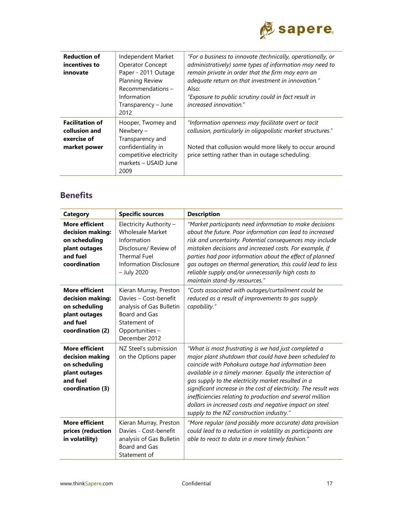

| <b>Reduction of</b>    | Independent Market      | "For a business to innovate (technically, operationally, or  |
|------------------------|-------------------------|--------------------------------------------------------------|
| incentives to          | <b>Operator Concept</b> | administratively) some types of information may need to      |
| innovate               | Paper - 2011 Outage     | remain private in order that the firm may earn an            |
|                        | Planning Review         | adequate return on that investment in innovation."           |
|                        | Recommendations-        | Also:                                                        |
|                        | Information             | "Exposure to public scrutiny could in fact result in         |
|                        | Transparency - June     | increased innovation."                                       |
|                        | 2012                    |                                                              |
| <b>Facilitation of</b> | Hooper, Twomey and      | "Information openness may facilitate overt or tacit          |
| collusion and          | Newbery -               | collusion, particularly in oligopolistic market structures." |
| exercise of            | Transparency and        |                                                              |
| market power           | confidentiality in      | Noted that collusion would more likely to occur around       |
|                        | competitive electricity | price setting rather than in outage scheduling.              |
|                        | markets - USAID June    |                                                              |
|                        | 2009                    |                                                              |

## **Benefits**

| <b>Category</b>                                                                                             | <b>Specific sources</b>                                                                                                                                           | <b>Description</b>                                                                                                                                                                                                                                                                                                                                                                                                                                                                                                            |
|-------------------------------------------------------------------------------------------------------------|-------------------------------------------------------------------------------------------------------------------------------------------------------------------|-------------------------------------------------------------------------------------------------------------------------------------------------------------------------------------------------------------------------------------------------------------------------------------------------------------------------------------------------------------------------------------------------------------------------------------------------------------------------------------------------------------------------------|
| <b>More efficient</b><br>decision making:<br>on scheduling<br>plant outages<br>and fuel<br>coordination     | Electricity Authority -<br><b>Wholesale Market</b><br>Information<br>Disclosure/ Review of<br><b>Thermal Fuel</b><br><b>Information Disclosure</b><br>- July 2020 | "Market participants need information to make decisions<br>about the future. Poor information can lead to increased<br>risk and uncertainty. Potential consequences may include<br>mistaken decisions and increased costs. For example, if<br>parties had poor information about the effect of planned<br>gas outages on thermal generation, this could lead to less<br>reliable supply and/or unnecessarily high costs to<br>maintain stand-by resources."                                                                   |
| <b>More efficient</b><br>decision making:<br>on scheduling<br>plant outages<br>and fuel<br>coordination (2) | Kieran Murray, Preston<br>Davies - Cost-benefit<br>analysis of Gas Bulletin<br>Board and Gas<br>Statement of<br>Opportunities -<br>December 2012                  | "Costs associated with outages/curtailment could be<br>reduced as a result of improvements to gas supply<br>capability."                                                                                                                                                                                                                                                                                                                                                                                                      |
| <b>More efficient</b><br>decision making<br>on scheduling<br>plant outages<br>and fuel<br>coordination (3)  | NZ Steel's submission<br>on the Options paper                                                                                                                     | "What is most frustrating is we had just completed a<br>major plant shutdown that could have been scheduled to<br>coincide with Pohokura outage had information been<br>available in a timely manner. Equally the interaction of<br>gas supply to the electricity market resulted in a<br>significant increase in the cost of electricity. The result was<br>inefficiencies relating to production and several million<br>dollars in increased costs and negative impact on steel<br>supply to the NZ construction industry." |
| <b>More efficient</b><br>prices (reduction<br>in volatility)                                                | Kieran Murray, Preston<br>Davies - Cost-benefit<br>analysis of Gas Bulletin<br>Board and Gas<br>Statement of                                                      | "More regular (and possibly more accurate) data provision<br>could lead to a reduction in volatility as participants are<br>able to react to data in a more timely fashion."                                                                                                                                                                                                                                                                                                                                                  |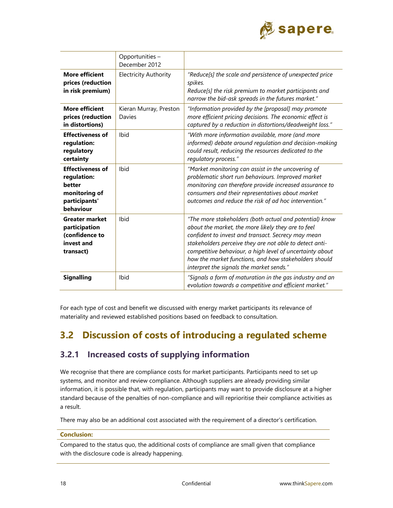

|                                                                                                 | Opportunities -<br>December 2012 |                                                                                                                                                                                                                                                                                                                                                                                                 |  |  |  |
|-------------------------------------------------------------------------------------------------|----------------------------------|-------------------------------------------------------------------------------------------------------------------------------------------------------------------------------------------------------------------------------------------------------------------------------------------------------------------------------------------------------------------------------------------------|--|--|--|
| <b>More efficient</b><br>prices (reduction<br>in risk premium)                                  | <b>Electricity Authority</b>     | "Reduce[s] the scale and persistence of unexpected price<br>spikes.<br>Reduce[s] the risk premium to market participants and<br>narrow the bid-ask spreads in the futures market."                                                                                                                                                                                                              |  |  |  |
| <b>More efficient</b><br>prices (reduction<br>in distortions)                                   | Kieran Murray, Preston<br>Davies | "Information provided by the [proposal] may promote<br>more efficient pricing decisions. The economic effect is<br>captured by a reduction in distortions/deadweight loss."                                                                                                                                                                                                                     |  |  |  |
| <b>Effectiveness of</b><br>regulation:<br>regulatory<br>certainty                               | Ibid                             | "With more information available, more (and more<br>informed) debate around regulation and decision-making<br>could result, reducing the resources dedicated to the<br>regulatory process."                                                                                                                                                                                                     |  |  |  |
| <b>Effectiveness of</b><br>regulation:<br>better<br>monitoring of<br>participants'<br>behaviour | Ibid                             | "Market monitoring can assist in the uncovering of<br>problematic short run behaviours. Improved market<br>monitoring can therefore provide increased assurance to<br>consumers and their representatives about market<br>outcomes and reduce the risk of ad hoc intervention."                                                                                                                 |  |  |  |
| <b>Greater market</b><br>participation<br>(confidence to<br>invest and<br>transact)             | Ibid                             | "The more stakeholders (both actual and potential) know<br>about the market, the more likely they are to feel<br>confident to invest and transact. Secrecy may mean<br>stakeholders perceive they are not able to detect anti-<br>competitive behaviour, a high level of uncertainty about<br>how the market functions, and how stakeholders should<br>interpret the signals the market sends." |  |  |  |
| <b>Signalling</b>                                                                               | Ibid                             | "Signals a form of maturation in the gas industry and an<br>evolution towards a competitive and efficient market."                                                                                                                                                                                                                                                                              |  |  |  |

For each type of cost and benefit we discussed with energy market participants its relevance of materiality and reviewed established positions based on feedback to consultation.

# **3.2 Discussion of costs of introducing a regulated scheme**

## **3.2.1 Increased costs of supplying information**

We recognise that there are compliance costs for market participants. Participants need to set up systems, and monitor and review compliance. Although suppliers are already providing similar information, it is possible that, with regulation, participants may want to provide disclosure at a higher standard because of the penalties of non-compliance and will reprioritise their compliance activities as a result.

There may also be an additional cost associated with the requirement of a director's certification.

### **Conclusion:**

Compared to the status quo, the additional costs of compliance are small given that compliance with the disclosure code is already happening.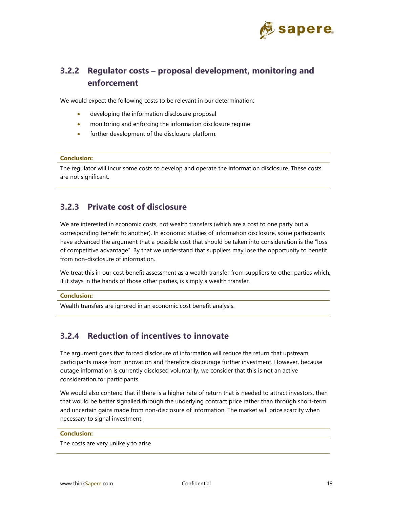

## **3.2.2 Regulator costs – proposal development, monitoring and enforcement**

We would expect the following costs to be relevant in our determination:

- developing the information disclosure proposal
- monitoring and enforcing the information disclosure regime
- further development of the disclosure platform.

#### **Conclusion:**

The regulator will incur some costs to develop and operate the information disclosure. These costs are not significant.

### **3.2.3 Private cost of disclosure**

We are interested in economic costs, not wealth transfers (which are a cost to one party but a corresponding benefit to another). In economic studies of information disclosure, some participants have advanced the argument that a possible cost that should be taken into consideration is the "loss of competitive advantage". By that we understand that suppliers may lose the opportunity to benefit from non-disclosure of information.

We treat this in our cost benefit assessment as a wealth transfer from suppliers to other parties which, if it stays in the hands of those other parties, is simply a wealth transfer.

#### **Conclusion:**

Wealth transfers are ignored in an economic cost benefit analysis.

## **3.2.4 Reduction of incentives to innovate**

The argument goes that forced disclosure of information will reduce the return that upstream participants make from innovation and therefore discourage further investment. However, because outage information is currently disclosed voluntarily, we consider that this is not an active consideration for participants.

We would also contend that if there is a higher rate of return that is needed to attract investors, then that would be better signalled through the underlying contract price rather than through short-term and uncertain gains made from non-disclosure of information. The market will price scarcity when necessary to signal investment.

#### **Conclusion:**

The costs are very unlikely to arise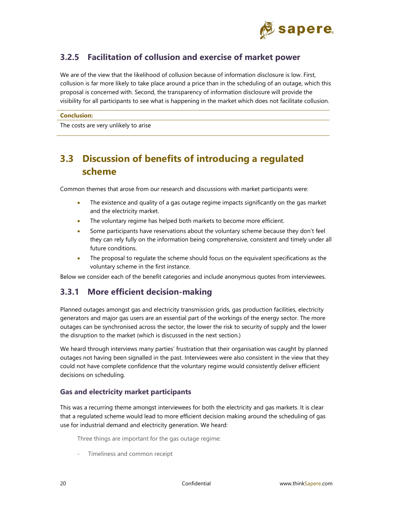

## **3.2.5 Facilitation of collusion and exercise of market power**

We are of the view that the likelihood of collusion because of information disclosure is low. First, collusion is far more likely to take place around a price than in the scheduling of an outage, which this proposal is concerned with. Second, the transparency of information disclosure will provide the visibility for all participants to see what is happening in the market which does not facilitate collusion.

#### **Conclusion:**

The costs are very unlikely to arise

# **3.3 Discussion of benefits of introducing a regulated scheme**

Common themes that arose from our research and discussions with market participants were:

- The existence and quality of a gas outage regime impacts significantly on the gas market and the electricity market.
- The voluntary regime has helped both markets to become more efficient.
- Some participants have reservations about the voluntary scheme because they don't feel they can rely fully on the information being comprehensive, consistent and timely under all future conditions.
- The proposal to regulate the scheme should focus on the equivalent specifications as the voluntary scheme in the first instance.

Below we consider each of the benefit categories and include anonymous quotes from interviewees.

## **3.3.1 More efficient decision-making**

Planned outages amongst gas and electricity transmission grids, gas production facilities, electricity generators and major gas users are an essential part of the workings of the energy sector. The more outages can be synchronised across the sector, the lower the risk to security of supply and the lower the disruption to the market (which is discussed in the next section.)

We heard through interviews many parties' frustration that their organisation was caught by planned outages not having been signalled in the past. Interviewees were also consistent in the view that they could not have complete confidence that the voluntary regime would consistently deliver efficient decisions on scheduling.

### **Gas and electricity market participants**

This was a recurring theme amongst interviewees for both the electricity and gas markets. It is clear that a regulated scheme would lead to more efficient decision making around the scheduling of gas use for industrial demand and electricity generation. We heard:

Three things are important for the gas outage regime:

Timeliness and common receipt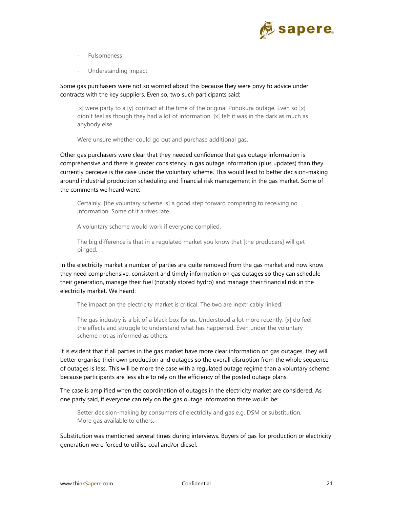

- **Fulsomeness**
- Understanding impact

### Some gas purchasers were not so worried about this because they were privy to advice under contracts with the key suppliers. Even so, two such participants said:

[x] were party to a [y] contract at the time of the original Pohokura outage. Even so [x] didn't feel as though they had a lot of information. [x] felt it was in the dark as much as anybody else.

Were unsure whether could go out and purchase additional gas.

Other gas purchasers were clear that they needed confidence that gas outage information is comprehensive and there is greater consistency in gas outage information (plus updates) than they currently perceive is the case under the voluntary scheme. This would lead to better decision-making around industrial production scheduling and financial risk management in the gas market. Some of the comments we heard were:

Certainly, [the voluntary scheme is] a good step forward comparing to receiving no information. Some of it arrives late.

A voluntary scheme would work if everyone complied.

The big difference is that in a regulated market you know that [the producers] will get pinged.

In the electricity market a number of parties are quite removed from the gas market and now know they need comprehensive, consistent and timely information on gas outages so they can schedule their generation, manage their fuel (notably stored hydro) and manage their financial risk in the electricity market. We heard:

The impact on the electricity market is critical. The two are inextricably linked.

The gas industry is a bit of a black box for us. Understood a lot more recently. [x] do feel the effects and struggle to understand what has happened. Even under the voluntary scheme not as informed as others.

It is evident that if all parties in the gas market have more clear information on gas outages, they will better organise their own production and outages so the overall disruption from the whole sequence of outages is less. This will be more the case with a regulated outage regime than a voluntary scheme because participants are less able to rely on the efficiency of the posted outage plans.

The case is amplified when the coordination of outages in the electricity market are considered. As one party said, if everyone can rely on the gas outage information there would be:

Better decision-making by consumers of electricity and gas e.g. DSM or substitution. More gas available to others.

Substitution was mentioned several times during interviews. Buyers of gas for production or electricity generation were forced to utilise coal and/or diesel.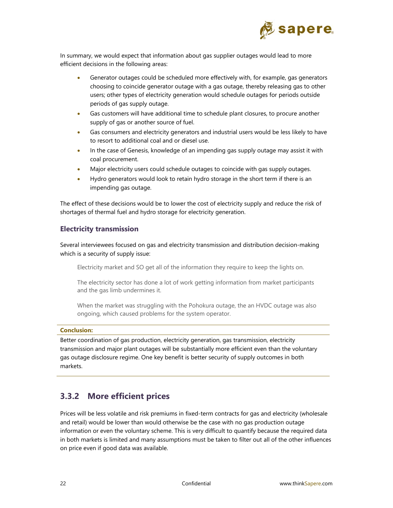

In summary, we would expect that information about gas supplier outages would lead to more efficient decisions in the following areas:

- Generator outages could be scheduled more effectively with, for example, gas generators choosing to coincide generator outage with a gas outage, thereby releasing gas to other users; other types of electricity generation would schedule outages for periods outside periods of gas supply outage.
- Gas customers will have additional time to schedule plant closures, to procure another supply of gas or another source of fuel.
- Gas consumers and electricity generators and industrial users would be less likely to have to resort to additional coal and or diesel use.
- In the case of Genesis, knowledge of an impending gas supply outage may assist it with coal procurement.
- Major electricity users could schedule outages to coincide with gas supply outages.
- Hydro generators would look to retain hydro storage in the short term if there is an impending gas outage.

The effect of these decisions would be to lower the cost of electricity supply and reduce the risk of shortages of thermal fuel and hydro storage for electricity generation.

### **Electricity transmission**

Several interviewees focused on gas and electricity transmission and distribution decision-making which is a security of supply issue:

Electricity market and SO get all of the information they require to keep the lights on.

The electricity sector has done a lot of work getting information from market participants and the gas limb undermines it.

When the market was struggling with the Pohokura outage, the an HVDC outage was also ongoing, which caused problems for the system operator.

#### **Conclusion:**

Better coordination of gas production, electricity generation, gas transmission, electricity transmission and major plant outages will be substantially more efficient even than the voluntary gas outage disclosure regime. One key benefit is better security of supply outcomes in both markets.

## **3.3.2 More efficient prices**

Prices will be less volatile and risk premiums in fixed-term contracts for gas and electricity (wholesale and retail) would be lower than would otherwise be the case with no gas production outage information or even the voluntary scheme. This is very difficult to quantify because the required data in both markets is limited and many assumptions must be taken to filter out all of the other influences on price even if good data was available.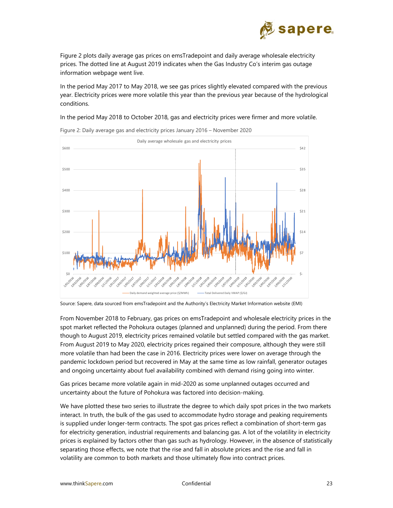

Figure 2 plots daily average gas prices on emsTradepoint and daily average wholesale electricity prices. The dotted line at August 2019 indicates when the Gas Industry Co's interim gas outage information webpage went live.

In the period May 2017 to May 2018, we see gas prices slightly elevated compared with the previous year. Electricity prices were more volatile this year than the previous year because of the hydrological conditions.

In the period May 2018 to October 2018, gas and electricity prices were firmer and more volatile.



Figure 2: Daily average gas and electricity prices January 2016 – November 2020

From November 2018 to February, gas prices on emsTradepoint and wholesale electricity prices in the spot market reflected the Pohokura outages (planned and unplanned) during the period. From there though to August 2019, electricity prices remained volatile but settled compared with the gas market. From August 2019 to May 2020, electricity prices regained their composure, although they were still more volatile than had been the case in 2016. Electricity prices were lower on average through the pandemic lockdown period but recovered in May at the same time as low rainfall, generator outages and ongoing uncertainty about fuel availability combined with demand rising going into winter.

Gas prices became more volatile again in mid-2020 as some unplanned outages occurred and uncertainty about the future of Pohokura was factored into decision-making.

We have plotted these two series to illustrate the degree to which daily spot prices in the two markets interact. In truth, the bulk of the gas used to accommodate hydro storage and peaking requirements is supplied under longer-term contracts. The spot gas prices reflect a combination of short-term gas for electricity generation, industrial requirements and balancing gas. A lot of the volatility in electricity prices is explained by factors other than gas such as hydrology. However, in the absence of statistically separating those effects, we note that the rise and fall in absolute prices and the rise and fall in volatility are common to both markets and those ultimately flow into contract prices.

Source: Sapere, data sourced from emsTradepoint and the Authority's Electricity Market Information website (EMI)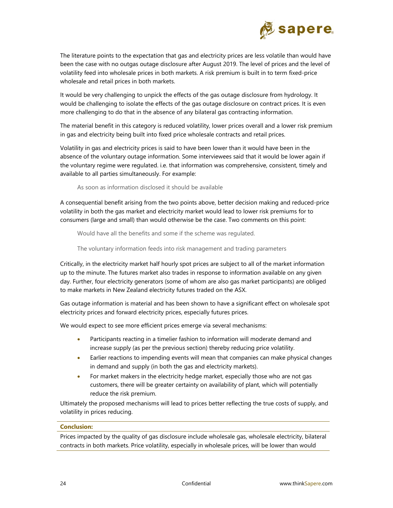

The literature points to the expectation that gas and electricity prices are less volatile than would have been the case with no outgas outage disclosure after August 2019. The level of prices and the level of volatility feed into wholesale prices in both markets. A risk premium is built in to term fixed-price wholesale and retail prices in both markets.

It would be very challenging to unpick the effects of the gas outage disclosure from hydrology. It would be challenging to isolate the effects of the gas outage disclosure on contract prices. It is even more challenging to do that in the absence of any bilateral gas contracting information.

The material benefit in this category is reduced volatility, lower prices overall and a lower risk premium in gas and electricity being built into fixed price wholesale contracts and retail prices.

Volatility in gas and electricity prices is said to have been lower than it would have been in the absence of the voluntary outage information. Some interviewees said that it would be lower again if the voluntary regime were regulated. i.e. that information was comprehensive, consistent, timely and available to all parties simultaneously. For example:

As soon as information disclosed it should be available

A consequential benefit arising from the two points above, better decision making and reduced-price volatility in both the gas market and electricity market would lead to lower risk premiums for to consumers (large and small) than would otherwise be the case. Two comments on this point:

Would have all the benefits and some if the scheme was regulated.

The voluntary information feeds into risk management and trading parameters

Critically, in the electricity market half hourly spot prices are subject to all of the market information up to the minute. The futures market also trades in response to information available on any given day. Further, four electricity generators (some of whom are also gas market participants) are obliged to make markets in New Zealand electricity futures traded on the ASX.

Gas outage information is material and has been shown to have a significant effect on wholesale spot electricity prices and forward electricity prices, especially futures prices.

We would expect to see more efficient prices emerge via several mechanisms:

- Participants reacting in a timelier fashion to information will moderate demand and increase supply (as per the previous section) thereby reducing price volatility.
- Earlier reactions to impending events will mean that companies can make physical changes in demand and supply (in both the gas and electricity markets).
- For market makers in the electricity hedge market, especially those who are not gas customers, there will be greater certainty on availability of plant, which will potentially reduce the risk premium.

Ultimately the proposed mechanisms will lead to prices better reflecting the true costs of supply, and volatility in prices reducing.

#### **Conclusion:**

Prices impacted by the quality of gas disclosure include wholesale gas, wholesale electricity, bilateral contracts in both markets. Price volatility, especially in wholesale prices, will be lower than would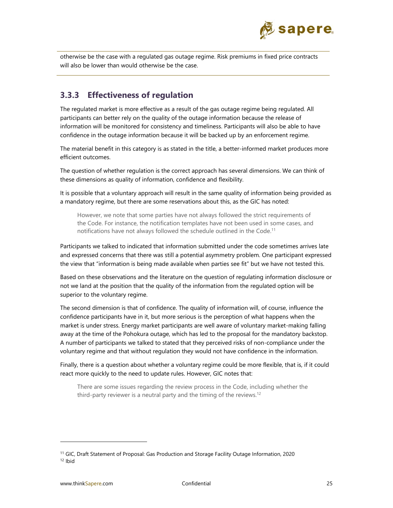

otherwise be the case with a regulated gas outage regime. Risk premiums in fixed price contracts will also be lower than would otherwise be the case.

## **3.3.3 Effectiveness of regulation**

The regulated market is more effective as a result of the gas outage regime being regulated. All participants can better rely on the quality of the outage information because the release of information will be monitored for consistency and timeliness. Participants will also be able to have confidence in the outage information because it will be backed up by an enforcement regime.

The material benefit in this category is as stated in the title, a better-informed market produces more efficient outcomes.

The question of whether regulation is the correct approach has several dimensions. We can think of these dimensions as quality of information, confidence and flexibility.

It is possible that a voluntary approach will result in the same quality of information being provided as a mandatory regime, but there are some reservations about this, as the GIC has noted:

However, we note that some parties have not always followed the strict requirements of the Code. For instance, the notification templates have not been used in some cases, and notifications have not always followed the schedule outlined in the Code.<sup>11</sup>

Participants we talked to indicated that information submitted under the code sometimes arrives late and expressed concerns that there was still a potential asymmetry problem. One participant expressed the view that "information is being made available when parties see fit" but we have not tested this.

Based on these observations and the literature on the question of regulating information disclosure or not we land at the position that the quality of the information from the regulated option will be superior to the voluntary regime.

The second dimension is that of confidence. The quality of information will, of course, influence the confidence participants have in it, but more serious is the perception of what happens when the market is under stress. Energy market participants are well aware of voluntary market-making falling away at the time of the Pohokura outage, which has led to the proposal for the mandatory backstop. A number of participants we talked to stated that they perceived risks of non-compliance under the voluntary regime and that without regulation they would not have confidence in the information.

Finally, there is a question about whether a voluntary regime could be more flexible, that is, if it could react more quickly to the need to update rules. However, GIC notes that:

There are some issues regarding the review process in the Code, including whether the third-party reviewer is a neutral party and the timing of the reviews.<sup>12</sup>

<sup>&</sup>lt;sup>11</sup> GIC, Draft Statement of Proposal: Gas Production and Storage Facility Outage Information, 2020<br><sup>12</sup> Ibid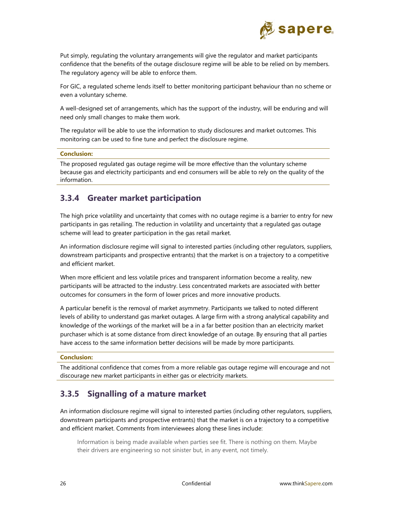

Put simply, regulating the voluntary arrangements will give the regulator and market participants confidence that the benefits of the outage disclosure regime will be able to be relied on by members. The regulatory agency will be able to enforce them.

For GIC, a regulated scheme lends itself to better monitoring participant behaviour than no scheme or even a voluntary scheme.

A well-designed set of arrangements, which has the support of the industry, will be enduring and will need only small changes to make them work.

The regulator will be able to use the information to study disclosures and market outcomes. This monitoring can be used to fine tune and perfect the disclosure regime.

#### **Conclusion:**

The proposed regulated gas outage regime will be more effective than the voluntary scheme because gas and electricity participants and end consumers will be able to rely on the quality of the information.

### **3.3.4 Greater market participation**

The high price volatility and uncertainty that comes with no outage regime is a barrier to entry for new participants in gas retailing. The reduction in volatility and uncertainty that a regulated gas outage scheme will lead to greater participation in the gas retail market.

An information disclosure regime will signal to interested parties (including other regulators, suppliers, downstream participants and prospective entrants) that the market is on a trajectory to a competitive and efficient market.

When more efficient and less volatile prices and transparent information become a reality, new participants will be attracted to the industry. Less concentrated markets are associated with better outcomes for consumers in the form of lower prices and more innovative products.

A particular benefit is the removal of market asymmetry. Participants we talked to noted different levels of ability to understand gas market outages. A large firm with a strong analytical capability and knowledge of the workings of the market will be a in a far better position than an electricity market purchaser which is at some distance from direct knowledge of an outage. By ensuring that all parties have access to the same information better decisions will be made by more participants.

#### **Conclusion:**

The additional confidence that comes from a more reliable gas outage regime will encourage and not discourage new market participants in either gas or electricity markets.

## **3.3.5 Signalling of a mature market**

An information disclosure regime will signal to interested parties (including other regulators, suppliers, downstream participants and prospective entrants) that the market is on a trajectory to a competitive and efficient market. Comments from interviewees along these lines include:

Information is being made available when parties see fit. There is nothing on them. Maybe their drivers are engineering so not sinister but, in any event, not timely.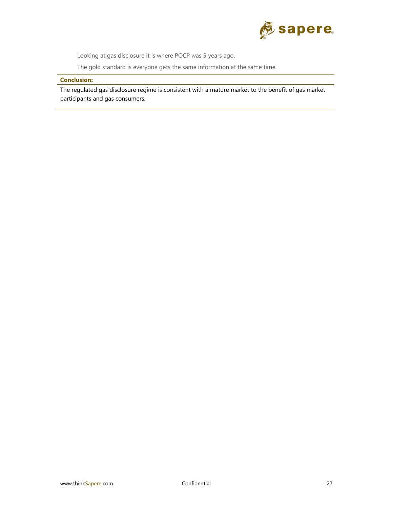

Looking at gas disclosure it is where POCP was 5 years ago.

The gold standard is everyone gets the same information at the same time.

#### **Conclusion:**

The regulated gas disclosure regime is consistent with a mature market to the benefit of gas market participants and gas consumers.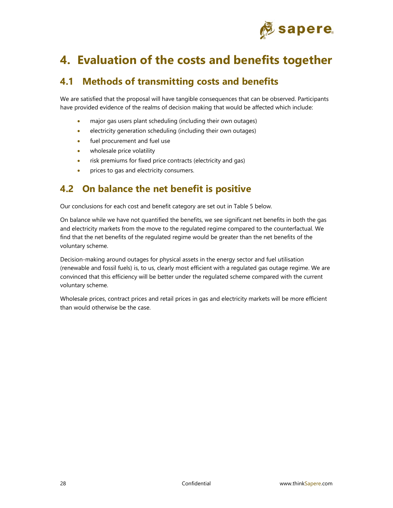

# **4. Evaluation of the costs and benefits together**

## **4.1 Methods of transmitting costs and benefits**

We are satisfied that the proposal will have tangible consequences that can be observed. Participants have provided evidence of the realms of decision making that would be affected which include:

- major gas users plant scheduling (including their own outages)
- **e** electricity generation scheduling (including their own outages)
- fuel procurement and fuel use
- wholesale price volatility
- risk premiums for fixed price contracts (electricity and gas)
- **•** prices to gas and electricity consumers.

## **4.2 On balance the net benefit is positive**

Our conclusions for each cost and benefit category are set out in Table 5 below.

On balance while we have not quantified the benefits, we see significant net benefits in both the gas and electricity markets from the move to the regulated regime compared to the counterfactual. We find that the net benefits of the regulated regime would be greater than the net benefits of the voluntary scheme.

Decision-making around outages for physical assets in the energy sector and fuel utilisation (renewable and fossil fuels) is, to us, clearly most efficient with a regulated gas outage regime. We are convinced that this efficiency will be better under the regulated scheme compared with the current voluntary scheme.

Wholesale prices, contract prices and retail prices in gas and electricity markets will be more efficient than would otherwise be the case.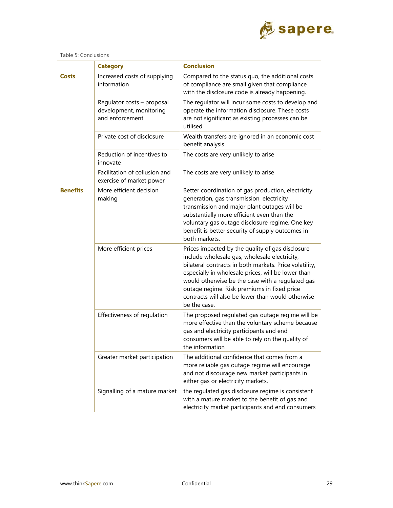

|                 | <b>Category</b>                                                          | <b>Conclusion</b>                                                                                                                                                                                                                                                                                                                                                                         |  |
|-----------------|--------------------------------------------------------------------------|-------------------------------------------------------------------------------------------------------------------------------------------------------------------------------------------------------------------------------------------------------------------------------------------------------------------------------------------------------------------------------------------|--|
| Costs           | Increased costs of supplying<br>information                              | Compared to the status quo, the additional costs<br>of compliance are small given that compliance<br>with the disclosure code is already happening.                                                                                                                                                                                                                                       |  |
|                 | Regulator costs - proposal<br>development, monitoring<br>and enforcement | The regulator will incur some costs to develop and<br>operate the information disclosure. These costs<br>are not significant as existing processes can be<br>utilised.                                                                                                                                                                                                                    |  |
|                 | Private cost of disclosure                                               | Wealth transfers are ignored in an economic cost<br>benefit analysis                                                                                                                                                                                                                                                                                                                      |  |
|                 | Reduction of incentives to<br>innovate                                   | The costs are very unlikely to arise                                                                                                                                                                                                                                                                                                                                                      |  |
|                 | Facilitation of collusion and<br>exercise of market power                | The costs are very unlikely to arise                                                                                                                                                                                                                                                                                                                                                      |  |
| <b>Benefits</b> | More efficient decision<br>making                                        | Better coordination of gas production, electricity<br>generation, gas transmission, electricity<br>transmission and major plant outages will be<br>substantially more efficient even than the<br>voluntary gas outage disclosure regime. One key<br>benefit is better security of supply outcomes in<br>both markets.                                                                     |  |
|                 | More efficient prices                                                    | Prices impacted by the quality of gas disclosure<br>include wholesale gas, wholesale electricity,<br>bilateral contracts in both markets. Price volatility,<br>especially in wholesale prices, will be lower than<br>would otherwise be the case with a regulated gas<br>outage regime. Risk premiums in fixed price<br>contracts will also be lower than would otherwise<br>be the case. |  |
|                 | Effectiveness of regulation                                              | The proposed regulated gas outage regime will be<br>more effective than the voluntary scheme because<br>gas and electricity participants and end<br>consumers will be able to rely on the quality of<br>the information                                                                                                                                                                   |  |
|                 | Greater market participation                                             | The additional confidence that comes from a<br>more reliable gas outage regime will encourage<br>and not discourage new market participants in<br>either gas or electricity markets.                                                                                                                                                                                                      |  |
|                 | Signalling of a mature market                                            | the regulated gas disclosure regime is consistent<br>with a mature market to the benefit of gas and<br>electricity market participants and end consumers                                                                                                                                                                                                                                  |  |